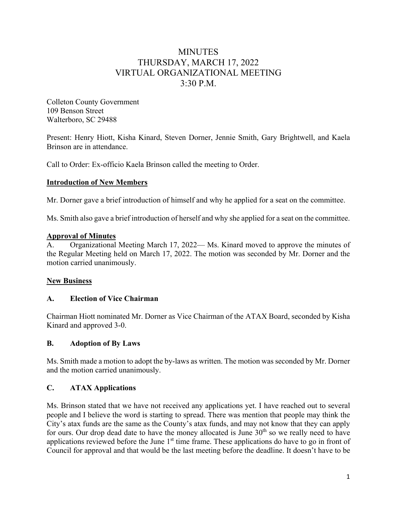# MINUTES THURSDAY, MARCH 17, 2022 VIRTUAL ORGANIZATIONAL MEETING 3:30 P.M.

Colleton County Government 109 Benson Street Walterboro, SC 29488

Present: Henry Hiott, Kisha Kinard, Steven Dorner, Jennie Smith, Gary Brightwell, and Kaela Brinson are in attendance.

Call to Order: Ex-officio Kaela Brinson called the meeting to Order.

### **Introduction of New Members**

Mr. Dorner gave a brief introduction of himself and why he applied for a seat on the committee.

Ms. Smith also gave a brief introduction of herself and why she applied for a seat on the committee.

#### **Approval of Minutes**

Organizational Meeting March 17, 2022— Ms. Kinard moved to approve the minutes of the Regular Meeting held on March 17, 2022. The motion was seconded by Mr. Dorner and the motion carried unanimously.

#### **New Business**

#### **A. Election of Vice Chairman**

Chairman Hiott nominated Mr. Dorner as Vice Chairman of the ATAX Board, seconded by Kisha Kinard and approved 3-0.

#### **B. Adoption of By Laws**

Ms. Smith made a motion to adopt the by-laws as written. The motion was seconded by Mr. Dorner and the motion carried unanimously.

## **C. ATAX Applications**

Ms. Brinson stated that we have not received any applications yet. I have reached out to several people and I believe the word is starting to spread. There was mention that people may think the City's atax funds are the same as the County's atax funds, and may not know that they can apply for ours. Our drop dead date to have the money allocated is June  $30<sup>th</sup>$  so we really need to have applications reviewed before the June 1<sup>st</sup> time frame. These applications do have to go in front of Council for approval and that would be the last meeting before the deadline. It doesn't have to be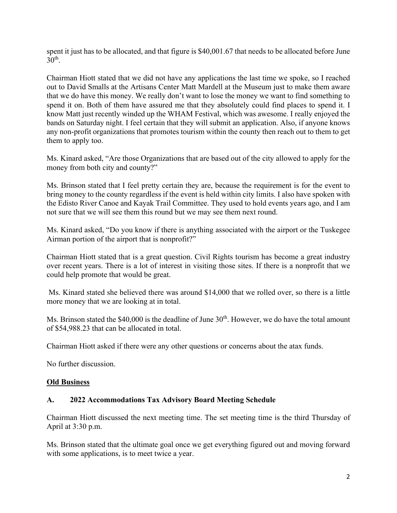spent it just has to be allocated, and that figure is \$40,001.67 that needs to be allocated before June  $30<sup>th</sup>$ .

Chairman Hiott stated that we did not have any applications the last time we spoke, so I reached out to David Smalls at the Artisans Center Matt Mardell at the Museum just to make them aware that we do have this money. We really don't want to lose the money we want to find something to spend it on. Both of them have assured me that they absolutely could find places to spend it. I know Matt just recently winded up the WHAM Festival, which was awesome. I really enjoyed the bands on Saturday night. I feel certain that they will submit an application. Also, if anyone knows any non-profit organizations that promotes tourism within the county then reach out to them to get them to apply too.

Ms. Kinard asked, "Are those Organizations that are based out of the city allowed to apply for the money from both city and county?"

Ms. Brinson stated that I feel pretty certain they are, because the requirement is for the event to bring money to the county regardless if the event is held within city limits. I also have spoken with the Edisto River Canoe and Kayak Trail Committee. They used to hold events years ago, and I am not sure that we will see them this round but we may see them next round.

Ms. Kinard asked, "Do you know if there is anything associated with the airport or the Tuskegee Airman portion of the airport that is nonprofit?"

Chairman Hiott stated that is a great question. Civil Rights tourism has become a great industry over recent years. There is a lot of interest in visiting those sites. If there is a nonprofit that we could help promote that would be great.

 Ms. Kinard stated she believed there was around \$14,000 that we rolled over, so there is a little more money that we are looking at in total.

Ms. Brinson stated the \$40,000 is the deadline of June  $30<sup>th</sup>$ . However, we do have the total amount of \$54,988.23 that can be allocated in total.

Chairman Hiott asked if there were any other questions or concerns about the atax funds.

No further discussion.

#### **Old Business**

#### **A. 2022 Accommodations Tax Advisory Board Meeting Schedule**

Chairman Hiott discussed the next meeting time. The set meeting time is the third Thursday of April at 3:30 p.m.

Ms. Brinson stated that the ultimate goal once we get everything figured out and moving forward with some applications, is to meet twice a year.